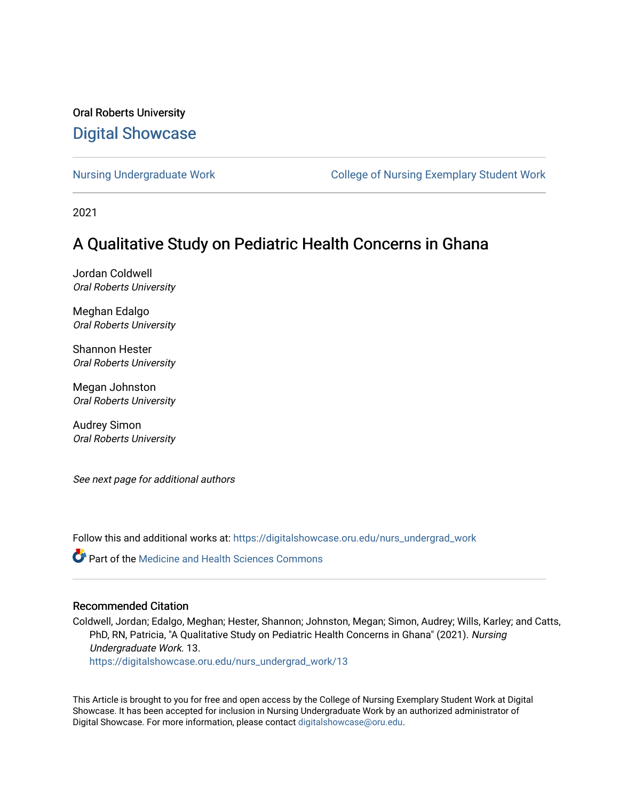## Oral Roberts University [Digital Showcase](https://digitalshowcase.oru.edu/)

[Nursing Undergraduate Work](https://digitalshowcase.oru.edu/nurs_undergrad_work) **College of Nursing Exemplary Student Work** 

2021

# A Qualitative Study on Pediatric Health Concerns in Ghana

Jordan Coldwell Oral Roberts University

Meghan Edalgo Oral Roberts University

Shannon Hester Oral Roberts University

Megan Johnston Oral Roberts University

Audrey Simon Oral Roberts University

See next page for additional authors

Follow this and additional works at: [https://digitalshowcase.oru.edu/nurs\\_undergrad\\_work](https://digitalshowcase.oru.edu/nurs_undergrad_work?utm_source=digitalshowcase.oru.edu%2Fnurs_undergrad_work%2F13&utm_medium=PDF&utm_campaign=PDFCoverPages)

**C** Part of the Medicine and Health Sciences Commons

## Recommended Citation

Coldwell, Jordan; Edalgo, Meghan; Hester, Shannon; Johnston, Megan; Simon, Audrey; Wills, Karley; and Catts, PhD, RN, Patricia, "A Qualitative Study on Pediatric Health Concerns in Ghana" (2021). Nursing Undergraduate Work. 13.

[https://digitalshowcase.oru.edu/nurs\\_undergrad\\_work/13](https://digitalshowcase.oru.edu/nurs_undergrad_work/13?utm_source=digitalshowcase.oru.edu%2Fnurs_undergrad_work%2F13&utm_medium=PDF&utm_campaign=PDFCoverPages)

This Article is brought to you for free and open access by the College of Nursing Exemplary Student Work at Digital Showcase. It has been accepted for inclusion in Nursing Undergraduate Work by an authorized administrator of Digital Showcase. For more information, please contact [digitalshowcase@oru.edu.](mailto:digitalshowcase@oru.edu)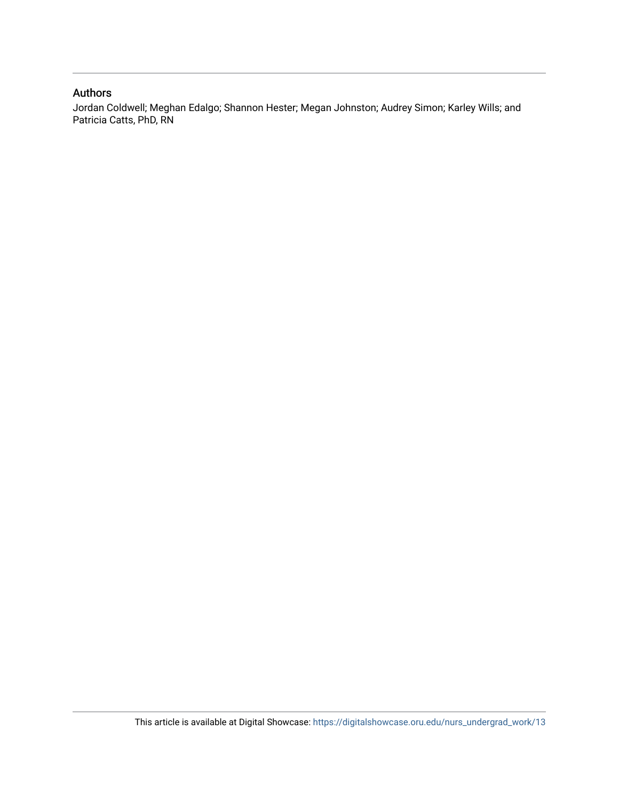## Authors

Jordan Coldwell; Meghan Edalgo; Shannon Hester; Megan Johnston; Audrey Simon; Karley Wills; and Patricia Catts, PhD, RN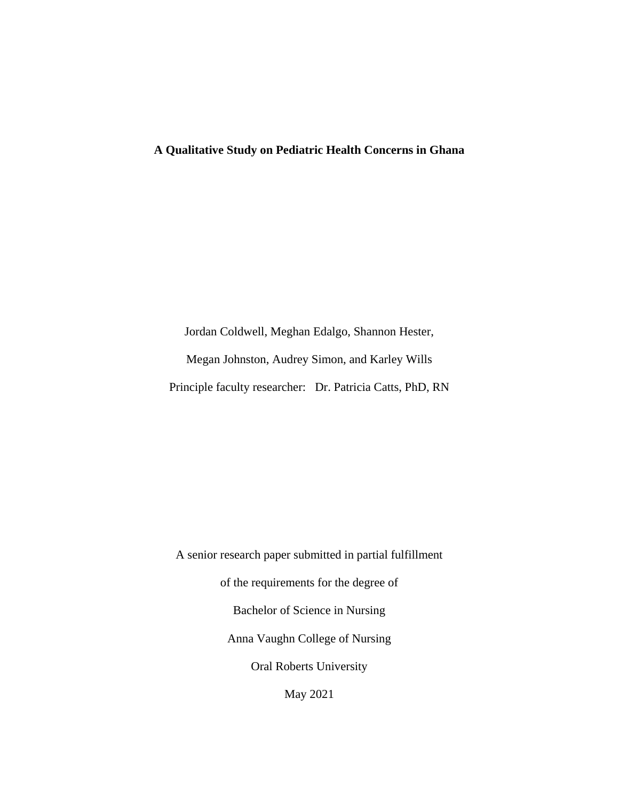## **A Qualitative Study on Pediatric Health Concerns in Ghana**

Jordan Coldwell, Meghan Edalgo, Shannon Hester, Megan Johnston, Audrey Simon, and Karley Wills Principle faculty researcher: Dr. Patricia Catts, PhD, RN

A senior research paper submitted in partial fulfillment of the requirements for the degree of Bachelor of Science in Nursing Anna Vaughn College of Nursing Oral Roberts University May 2021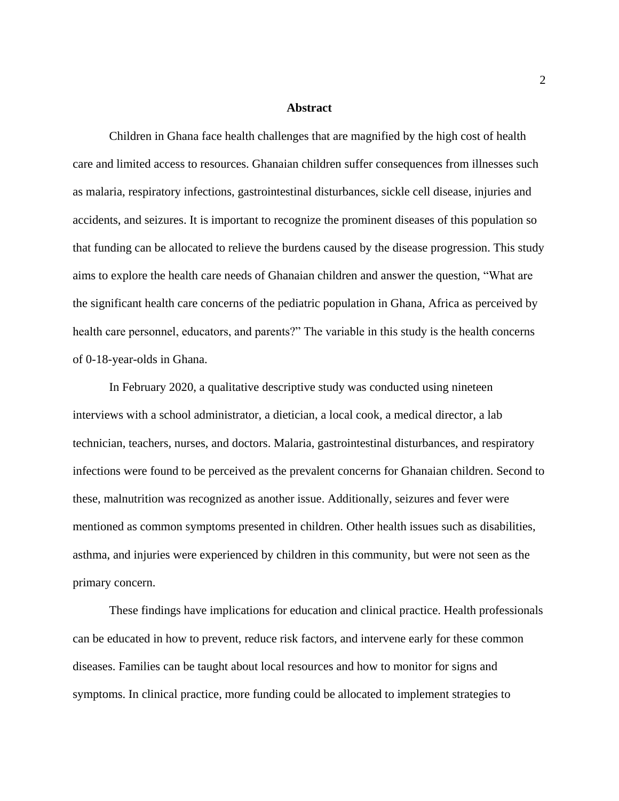#### **Abstract**

Children in Ghana face health challenges that are magnified by the high cost of health care and limited access to resources. Ghanaian children suffer consequences from illnesses such as malaria, respiratory infections, gastrointestinal disturbances, sickle cell disease, injuries and accidents, and seizures. It is important to recognize the prominent diseases of this population so that funding can be allocated to relieve the burdens caused by the disease progression. This study aims to explore the health care needs of Ghanaian children and answer the question, "What are the significant health care concerns of the pediatric population in Ghana, Africa as perceived by health care personnel, educators, and parents?" The variable in this study is the health concerns of 0-18-year-olds in Ghana.

In February 2020, a qualitative descriptive study was conducted using nineteen interviews with a school administrator, a dietician, a local cook, a medical director, a lab technician, teachers, nurses, and doctors. Malaria, gastrointestinal disturbances, and respiratory infections were found to be perceived as the prevalent concerns for Ghanaian children. Second to these, malnutrition was recognized as another issue. Additionally, seizures and fever were mentioned as common symptoms presented in children. Other health issues such as disabilities, asthma, and injuries were experienced by children in this community, but were not seen as the primary concern.

These findings have implications for education and clinical practice. Health professionals can be educated in how to prevent, reduce risk factors, and intervene early for these common diseases. Families can be taught about local resources and how to monitor for signs and symptoms. In clinical practice, more funding could be allocated to implement strategies to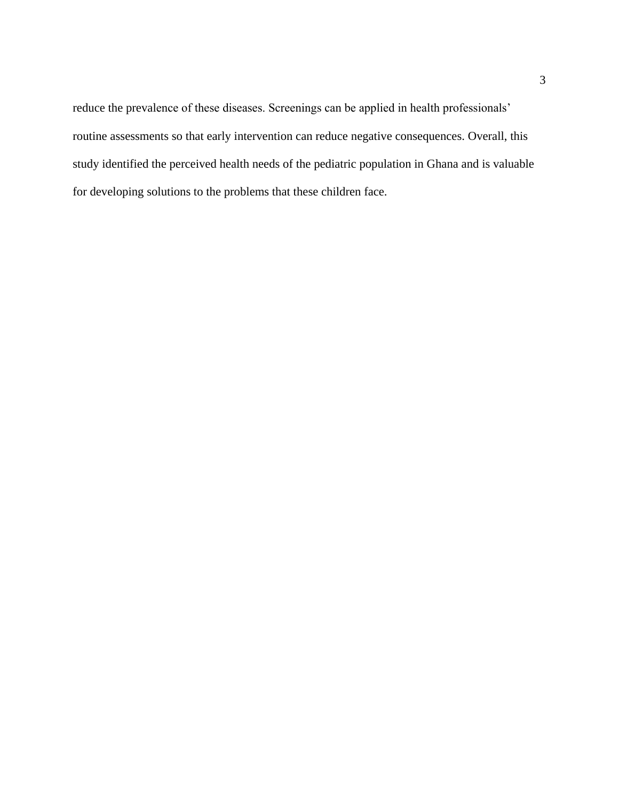reduce the prevalence of these diseases. Screenings can be applied in health professionals' routine assessments so that early intervention can reduce negative consequences. Overall, this study identified the perceived health needs of the pediatric population in Ghana and is valuable for developing solutions to the problems that these children face.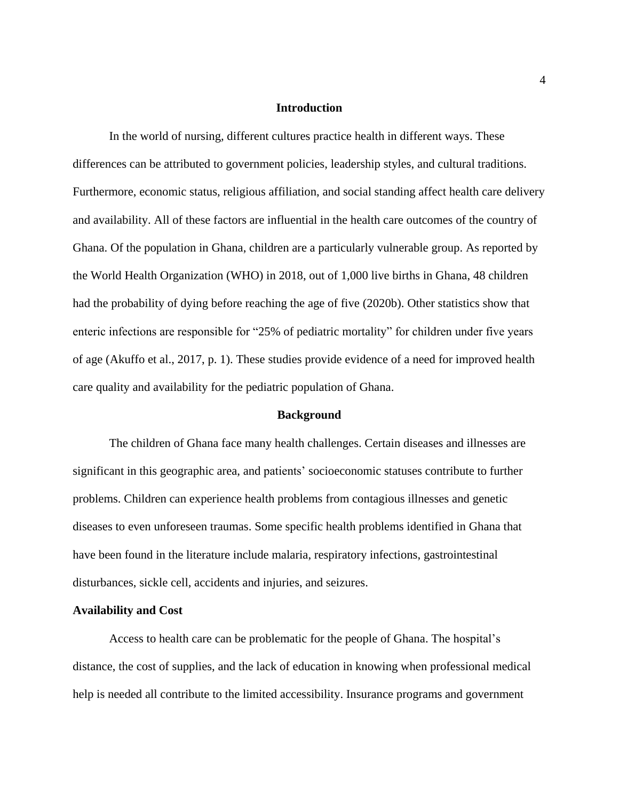## **Introduction**

In the world of nursing, different cultures practice health in different ways. These differences can be attributed to government policies, leadership styles, and cultural traditions. Furthermore, economic status, religious affiliation, and social standing affect health care delivery and availability. All of these factors are influential in the health care outcomes of the country of Ghana. Of the population in Ghana, children are a particularly vulnerable group. As reported by the World Health Organization (WHO) in 2018, out of 1,000 live births in Ghana, 48 children had the probability of dying before reaching the age of five (2020b). Other statistics show that enteric infections are responsible for "25% of pediatric mortality" for children under five years of age (Akuffo et al., 2017, p. 1). These studies provide evidence of a need for improved health care quality and availability for the pediatric population of Ghana.

#### **Background**

The children of Ghana face many health challenges. Certain diseases and illnesses are significant in this geographic area, and patients' socioeconomic statuses contribute to further problems. Children can experience health problems from contagious illnesses and genetic diseases to even unforeseen traumas. Some specific health problems identified in Ghana that have been found in the literature include malaria, respiratory infections, gastrointestinal disturbances, sickle cell, accidents and injuries, and seizures.

#### **Availability and Cost**

Access to health care can be problematic for the people of Ghana. The hospital's distance, the cost of supplies, and the lack of education in knowing when professional medical help is needed all contribute to the limited accessibility. Insurance programs and government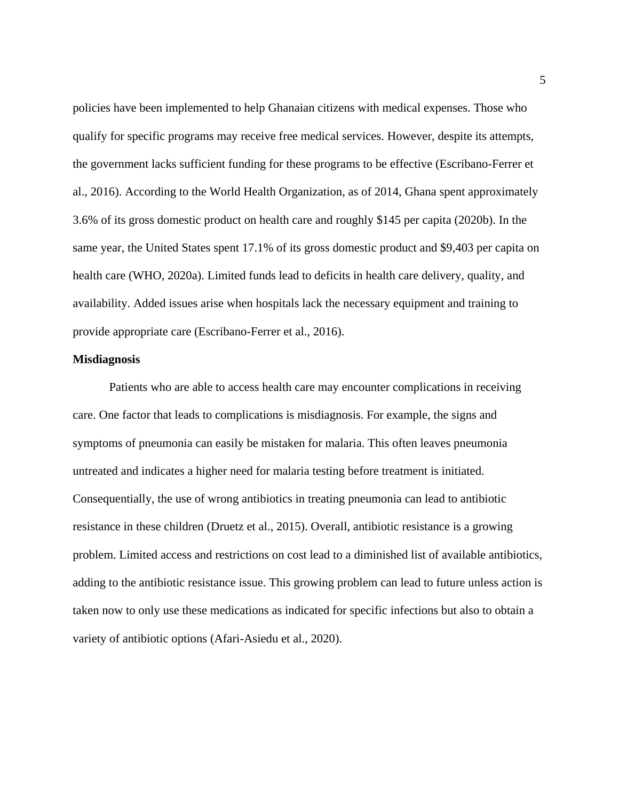policies have been implemented to help Ghanaian citizens with medical expenses. Those who qualify for specific programs may receive free medical services. However, despite its attempts, the government lacks sufficient funding for these programs to be effective (Escribano-Ferrer et al., 2016). According to the World Health Organization, as of 2014, Ghana spent approximately 3.6% of its gross domestic product on health care and roughly \$145 per capita (2020b). In the same year, the United States spent 17.1% of its gross domestic product and \$9,403 per capita on health care (WHO, 2020a). Limited funds lead to deficits in health care delivery, quality, and availability. Added issues arise when hospitals lack the necessary equipment and training to provide appropriate care (Escribano-Ferrer et al., 2016).

### **Misdiagnosis**

Patients who are able to access health care may encounter complications in receiving care. One factor that leads to complications is misdiagnosis. For example, the signs and symptoms of pneumonia can easily be mistaken for malaria. This often leaves pneumonia untreated and indicates a higher need for malaria testing before treatment is initiated. Consequentially, the use of wrong antibiotics in treating pneumonia can lead to antibiotic resistance in these children (Druetz et al., 2015). Overall, antibiotic resistance is a growing problem. Limited access and restrictions on cost lead to a diminished list of available antibiotics, adding to the antibiotic resistance issue. This growing problem can lead to future unless action is taken now to only use these medications as indicated for specific infections but also to obtain a variety of antibiotic options (Afari-Asiedu et al., 2020).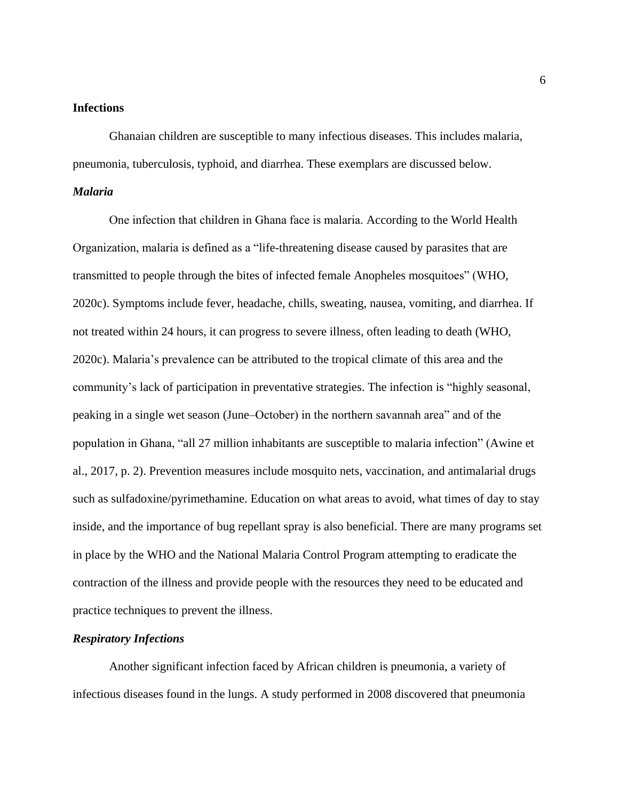## **Infections**

Ghanaian children are susceptible to many infectious diseases. This includes malaria, pneumonia, tuberculosis, typhoid, and diarrhea. These exemplars are discussed below.

## *Malaria*

One infection that children in Ghana face is malaria. According to the World Health Organization, malaria is defined as a "life-threatening disease caused by parasites that are transmitted to people through the bites of infected female Anopheles mosquitoes" (WHO, 2020c). Symptoms include fever, headache, chills, sweating, nausea, vomiting, and diarrhea. If not treated within 24 hours, it can progress to severe illness, often leading to death (WHO, 2020c). Malaria's prevalence can be attributed to the tropical climate of this area and the community's lack of participation in preventative strategies. The infection is "highly seasonal, peaking in a single wet season (June–October) in the northern savannah area" and of the population in Ghana, "all 27 million inhabitants are susceptible to malaria infection" (Awine et al., 2017, p. 2). Prevention measures include mosquito nets, vaccination, and antimalarial drugs such as sulfadoxine/pyrimethamine. Education on what areas to avoid, what times of day to stay inside, and the importance of bug repellant spray is also beneficial. There are many programs set in place by the WHO and the National Malaria Control Program attempting to eradicate the contraction of the illness and provide people with the resources they need to be educated and practice techniques to prevent the illness.

## *Respiratory Infections*

Another significant infection faced by African children is pneumonia, a variety of infectious diseases found in the lungs. A study performed in 2008 discovered that pneumonia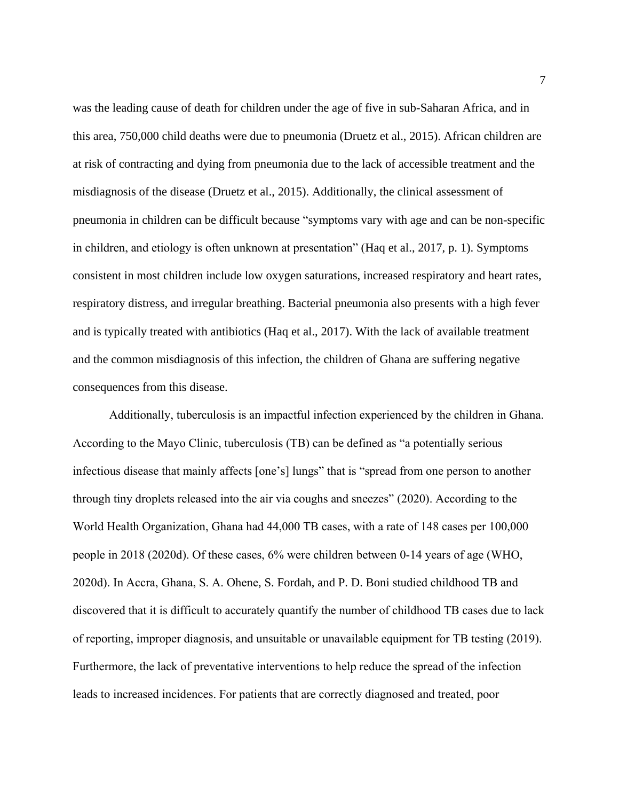was the leading cause of death for children under the age of five in sub-Saharan Africa, and in this area, 750,000 child deaths were due to pneumonia (Druetz et al., 2015). African children are at risk of contracting and dying from pneumonia due to the lack of accessible treatment and the misdiagnosis of the disease (Druetz et al., 2015). Additionally, the clinical assessment of pneumonia in children can be difficult because "symptoms vary with age and can be non-specific in children, and etiology is often unknown at presentation" (Haq et al., 2017, p. 1). Symptoms consistent in most children include low oxygen saturations, increased respiratory and heart rates, respiratory distress, and irregular breathing. Bacterial pneumonia also presents with a high fever and is typically treated with antibiotics (Haq et al., 2017). With the lack of available treatment and the common misdiagnosis of this infection, the children of Ghana are suffering negative consequences from this disease.

Additionally, tuberculosis is an impactful infection experienced by the children in Ghana. According to the Mayo Clinic, tuberculosis (TB) can be defined as "a potentially serious infectious disease that mainly affects [one's] lungs" that is "spread from one person to another through tiny droplets released into the air via coughs and sneezes" (2020). According to the World Health Organization, Ghana had 44,000 TB cases, with a rate of 148 cases per 100,000 people in 2018 (2020d). Of these cases, 6% were children between 0-14 years of age (WHO, 2020d). In Accra, Ghana, S. A. Ohene, S. Fordah, and P. D. Boni studied childhood TB and discovered that it is difficult to accurately quantify the number of childhood TB cases due to lack of reporting, improper diagnosis, and unsuitable or unavailable equipment for TB testing (2019). Furthermore, the lack of preventative interventions to help reduce the spread of the infection leads to increased incidences. For patients that are correctly diagnosed and treated, poor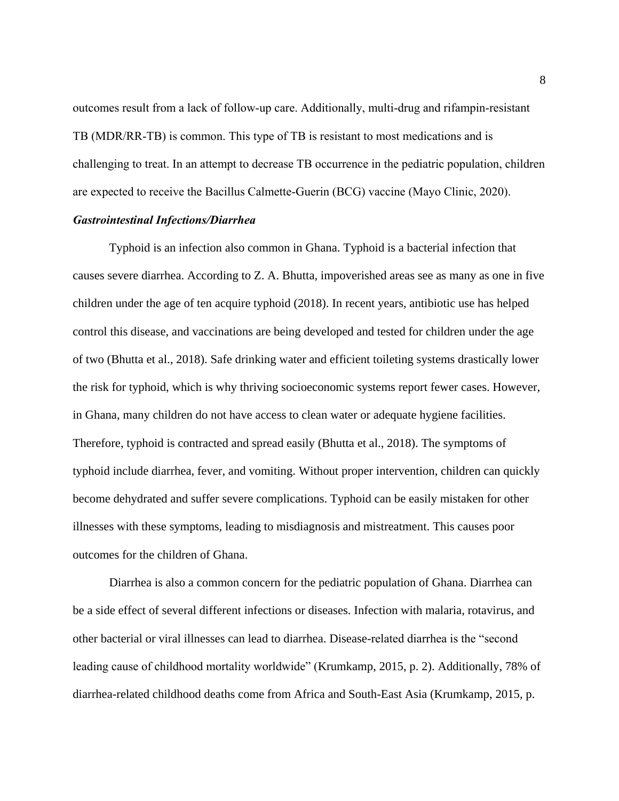outcomes result from a lack of follow-up care. Additionally, multi-drug and rifampin-resistant TB (MDR/RR-TB) is common. This type of TB is resistant to most medications and is challenging to treat. In an attempt to decrease TB occurrence in the pediatric population, children are expected to receive the Bacillus Calmette-Guerin (BCG) vaccine (Mayo Clinic, 2020).

## *Gastrointestinal Infections/Diarrhea*

Typhoid is an infection also common in Ghana. Typhoid is a bacterial infection that causes severe diarrhea. According to Z. A. Bhutta, impoverished areas see as many as one in five children under the age of ten acquire typhoid (2018). In recent years, antibiotic use has helped control this disease, and vaccinations are being developed and tested for children under the age of two (Bhutta et al., 2018). Safe drinking water and efficient toileting systems drastically lower the risk for typhoid, which is why thriving socioeconomic systems report fewer cases. However, in Ghana, many children do not have access to clean water or adequate hygiene facilities. Therefore, typhoid is contracted and spread easily (Bhutta et al., 2018). The symptoms of typhoid include diarrhea, fever, and vomiting. Without proper intervention, children can quickly become dehydrated and suffer severe complications. Typhoid can be easily mistaken for other illnesses with these symptoms, leading to misdiagnosis and mistreatment. This causes poor outcomes for the children of Ghana.

Diarrhea is also a common concern for the pediatric population of Ghana. Diarrhea can be a side effect of several different infections or diseases. Infection with malaria, rotavirus, and other bacterial or viral illnesses can lead to diarrhea. Disease-related diarrhea is the "second leading cause of childhood mortality worldwide" (Krumkamp, 2015, p. 2). Additionally, 78% of diarrhea-related childhood deaths come from Africa and South-East Asia (Krumkamp, 2015, p.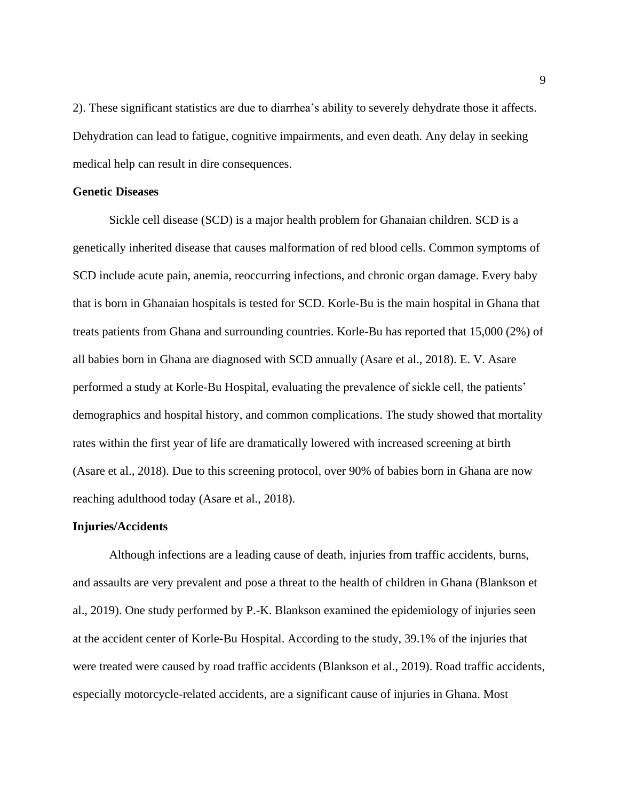2). These significant statistics are due to diarrhea's ability to severely dehydrate those it affects. Dehydration can lead to fatigue, cognitive impairments, and even death. Any delay in seeking medical help can result in dire consequences.

## **Genetic Diseases**

Sickle cell disease (SCD) is a major health problem for Ghanaian children. SCD is a genetically inherited disease that causes malformation of red blood cells. Common symptoms of SCD include acute pain, anemia, reoccurring infections, and chronic organ damage. Every baby that is born in Ghanaian hospitals is tested for SCD. Korle-Bu is the main hospital in Ghana that treats patients from Ghana and surrounding countries. Korle-Bu has reported that 15,000 (2%) of all babies born in Ghana are diagnosed with SCD annually (Asare et al., 2018). E. V. Asare performed a study at Korle-Bu Hospital, evaluating the prevalence of sickle cell, the patients' demographics and hospital history, and common complications. The study showed that mortality rates within the first year of life are dramatically lowered with increased screening at birth (Asare et al., 2018). Due to this screening protocol, over 90% of babies born in Ghana are now reaching adulthood today (Asare et al., 2018).

## **Injuries/Accidents**

Although infections are a leading cause of death, injuries from traffic accidents, burns, and assaults are very prevalent and pose a threat to the health of children in Ghana (Blankson et al., 2019). One study performed by P.-K. Blankson examined the epidemiology of injuries seen at the accident center of Korle-Bu Hospital. According to the study, 39.1% of the injuries that were treated were caused by road traffic accidents (Blankson et al., 2019). Road traffic accidents, especially motorcycle-related accidents, are a significant cause of injuries in Ghana. Most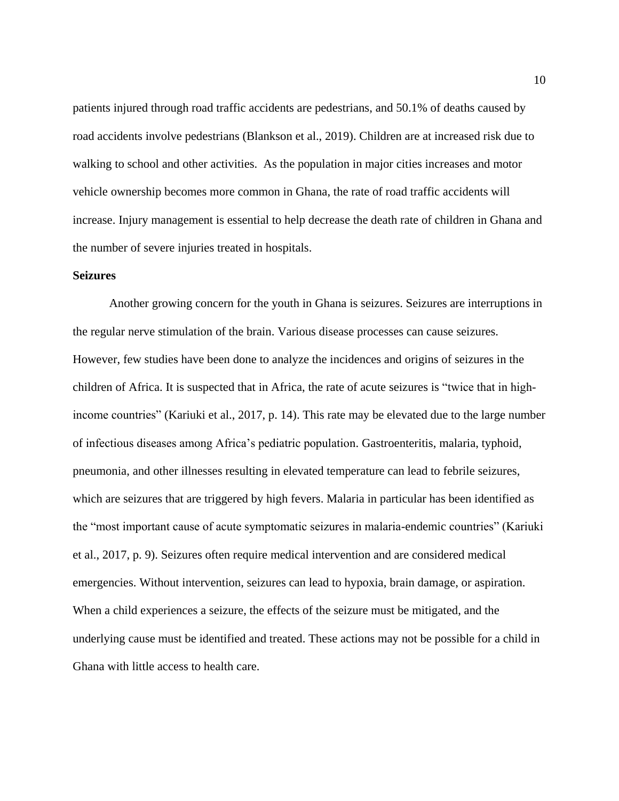patients injured through road traffic accidents are pedestrians, and 50.1% of deaths caused by road accidents involve pedestrians (Blankson et al., 2019). Children are at increased risk due to walking to school and other activities. As the population in major cities increases and motor vehicle ownership becomes more common in Ghana, the rate of road traffic accidents will increase. Injury management is essential to help decrease the death rate of children in Ghana and the number of severe injuries treated in hospitals.

## **Seizures**

Another growing concern for the youth in Ghana is seizures. Seizures are interruptions in the regular nerve stimulation of the brain. Various disease processes can cause seizures. However, few studies have been done to analyze the incidences and origins of seizures in the children of Africa. It is suspected that in Africa, the rate of acute seizures is "twice that in highincome countries" (Kariuki et al., 2017, p. 14). This rate may be elevated due to the large number of infectious diseases among Africa's pediatric population. Gastroenteritis, malaria, typhoid, pneumonia, and other illnesses resulting in elevated temperature can lead to febrile seizures, which are seizures that are triggered by high fevers. Malaria in particular has been identified as the "most important cause of acute symptomatic seizures in malaria-endemic countries" (Kariuki et al., 2017, p. 9). Seizures often require medical intervention and are considered medical emergencies. Without intervention, seizures can lead to hypoxia, brain damage, or aspiration. When a child experiences a seizure, the effects of the seizure must be mitigated, and the underlying cause must be identified and treated. These actions may not be possible for a child in Ghana with little access to health care.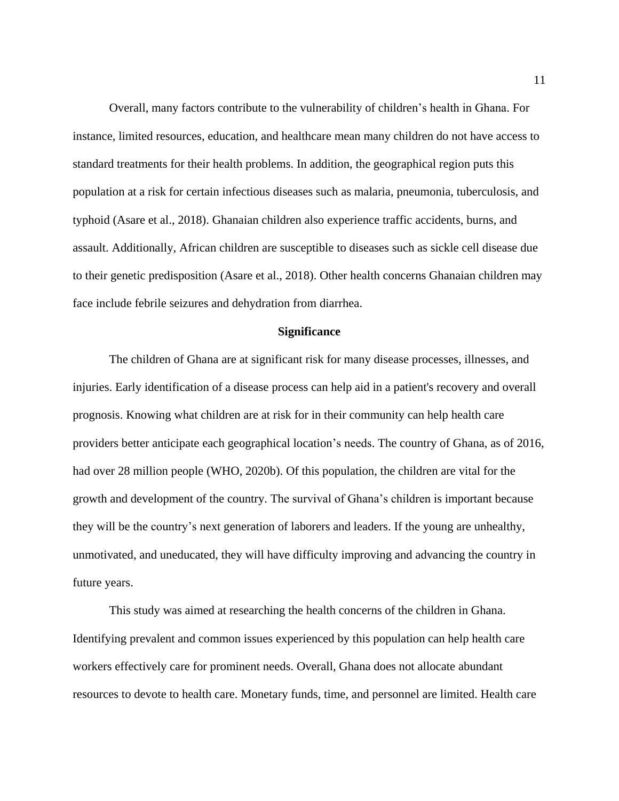Overall, many factors contribute to the vulnerability of children's health in Ghana. For instance, limited resources, education, and healthcare mean many children do not have access to standard treatments for their health problems. In addition, the geographical region puts this population at a risk for certain infectious diseases such as malaria, pneumonia, tuberculosis, and typhoid (Asare et al., 2018). Ghanaian children also experience traffic accidents, burns, and assault. Additionally, African children are susceptible to diseases such as sickle cell disease due to their genetic predisposition (Asare et al., 2018). Other health concerns Ghanaian children may face include febrile seizures and dehydration from diarrhea.

## **Significance**

The children of Ghana are at significant risk for many disease processes, illnesses, and injuries. Early identification of a disease process can help aid in a patient's recovery and overall prognosis. Knowing what children are at risk for in their community can help health care providers better anticipate each geographical location's needs. The country of Ghana, as of 2016, had over 28 million people (WHO, 2020b). Of this population, the children are vital for the growth and development of the country. The survival of Ghana's children is important because they will be the country's next generation of laborers and leaders. If the young are unhealthy, unmotivated, and uneducated, they will have difficulty improving and advancing the country in future years.

This study was aimed at researching the health concerns of the children in Ghana. Identifying prevalent and common issues experienced by this population can help health care workers effectively care for prominent needs. Overall, Ghana does not allocate abundant resources to devote to health care. Monetary funds, time, and personnel are limited. Health care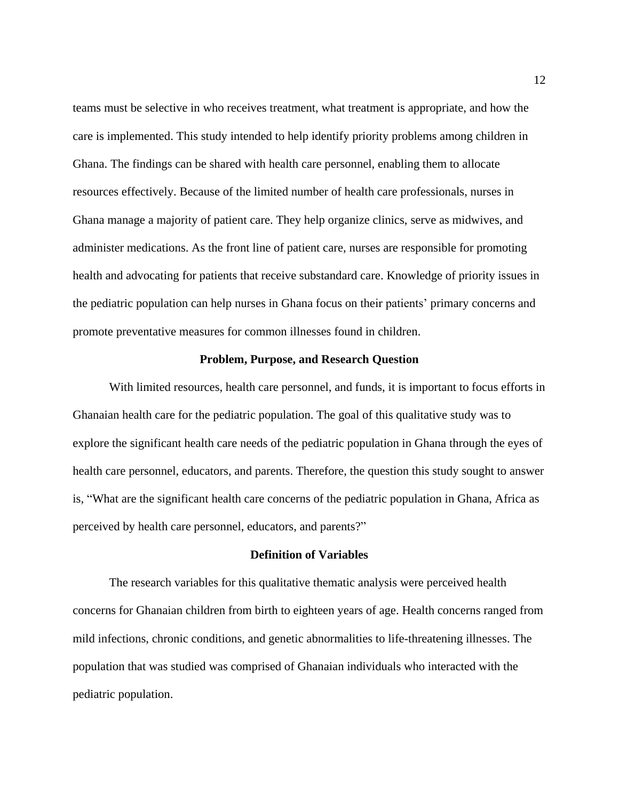teams must be selective in who receives treatment, what treatment is appropriate, and how the care is implemented. This study intended to help identify priority problems among children in Ghana. The findings can be shared with health care personnel, enabling them to allocate resources effectively. Because of the limited number of health care professionals, nurses in Ghana manage a majority of patient care. They help organize clinics, serve as midwives, and administer medications. As the front line of patient care, nurses are responsible for promoting health and advocating for patients that receive substandard care. Knowledge of priority issues in the pediatric population can help nurses in Ghana focus on their patients' primary concerns and promote preventative measures for common illnesses found in children.

## **Problem, Purpose, and Research Question**

With limited resources, health care personnel, and funds, it is important to focus efforts in Ghanaian health care for the pediatric population. The goal of this qualitative study was to explore the significant health care needs of the pediatric population in Ghana through the eyes of health care personnel, educators, and parents. Therefore, the question this study sought to answer is, "What are the significant health care concerns of the pediatric population in Ghana, Africa as perceived by health care personnel, educators, and parents?"

## **Definition of Variables**

The research variables for this qualitative thematic analysis were perceived health concerns for Ghanaian children from birth to eighteen years of age. Health concerns ranged from mild infections, chronic conditions, and genetic abnormalities to life-threatening illnesses. The population that was studied was comprised of Ghanaian individuals who interacted with the pediatric population.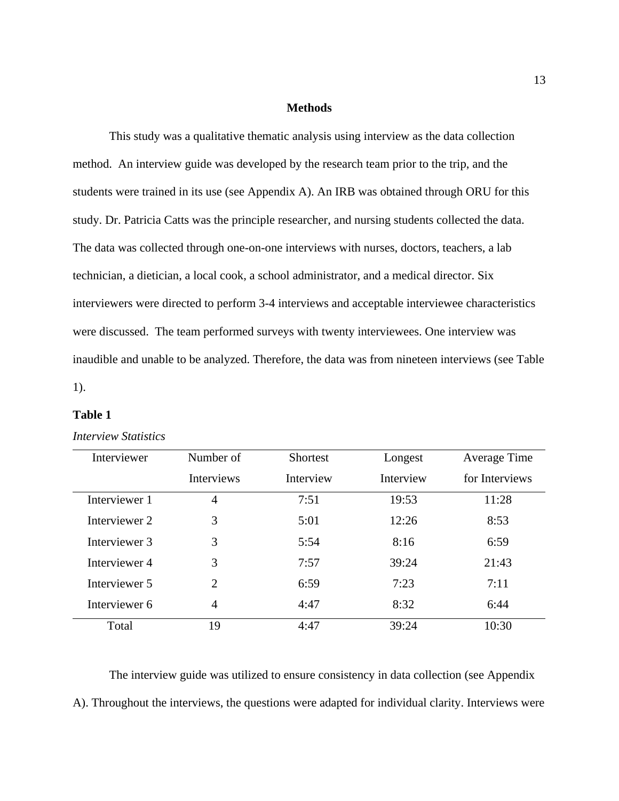## **Methods**

This study was a qualitative thematic analysis using interview as the data collection method. An interview guide was developed by the research team prior to the trip, and the students were trained in its use (see Appendix A). An IRB was obtained through ORU for this study. Dr. Patricia Catts was the principle researcher, and nursing students collected the data. The data was collected through one-on-one interviews with nurses, doctors, teachers, a lab technician, a dietician, a local cook, a school administrator, and a medical director. Six interviewers were directed to perform 3-4 interviews and acceptable interviewee characteristics were discussed. The team performed surveys with twenty interviewees. One interview was inaudible and unable to be analyzed. Therefore, the data was from nineteen interviews (see Table 1).

## **Table 1**

## *Interview Statistics*

| Interviewer   | Number of         | <b>Shortest</b> | Longest   | Average Time   |
|---------------|-------------------|-----------------|-----------|----------------|
|               | <b>Interviews</b> | Interview       | Interview | for Interviews |
| Interviewer 1 | 4                 | 7:51            | 19:53     | 11:28          |
| Interviewer 2 | 3                 | 5:01            | 12:26     | 8:53           |
| Interviewer 3 | 3                 | 5:54            | 8:16      | 6:59           |
| Interviewer 4 | 3                 | 7:57            | 39:24     | 21:43          |
| Interviewer 5 | $\overline{2}$    | 6:59            | 7:23      | 7:11           |
| Interviewer 6 | $\overline{4}$    | 4:47            | 8:32      | 6:44           |
| Total         | 19                | 4:47            | 39:24     | 10:30          |

The interview guide was utilized to ensure consistency in data collection (see Appendix A). Throughout the interviews, the questions were adapted for individual clarity. Interviews were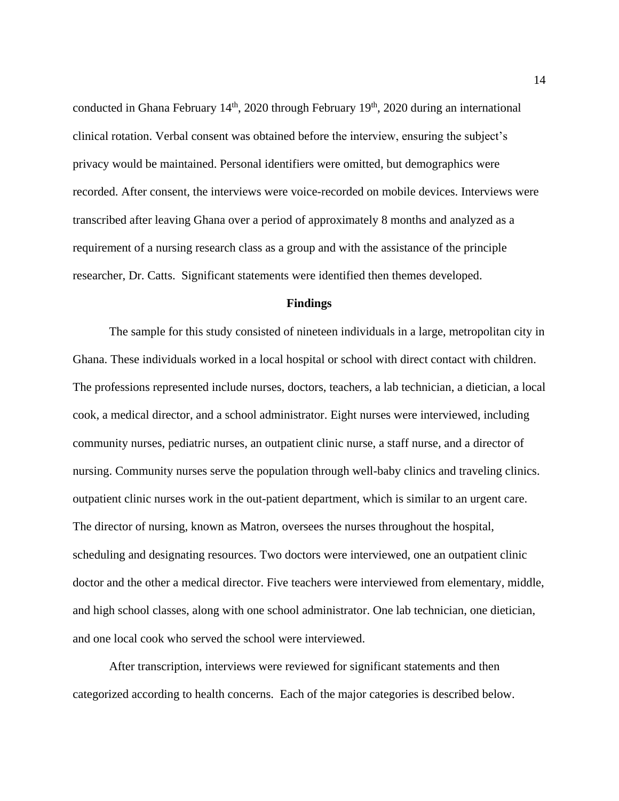conducted in Ghana February  $14<sup>th</sup>$ , 2020 through February  $19<sup>th</sup>$ , 2020 during an international clinical rotation. Verbal consent was obtained before the interview, ensuring the subject's privacy would be maintained. Personal identifiers were omitted, but demographics were recorded. After consent, the interviews were voice-recorded on mobile devices. Interviews were transcribed after leaving Ghana over a period of approximately 8 months and analyzed as a requirement of a nursing research class as a group and with the assistance of the principle researcher, Dr. Catts. Significant statements were identified then themes developed.

#### **Findings**

The sample for this study consisted of nineteen individuals in a large, metropolitan city in Ghana. These individuals worked in a local hospital or school with direct contact with children. The professions represented include nurses, doctors, teachers, a lab technician, a dietician, a local cook, a medical director, and a school administrator. Eight nurses were interviewed, including community nurses, pediatric nurses, an outpatient clinic nurse, a staff nurse, and a director of nursing. Community nurses serve the population through well-baby clinics and traveling clinics. outpatient clinic nurses work in the out-patient department, which is similar to an urgent care. The director of nursing, known as Matron, oversees the nurses throughout the hospital, scheduling and designating resources. Two doctors were interviewed, one an outpatient clinic doctor and the other a medical director. Five teachers were interviewed from elementary, middle, and high school classes, along with one school administrator. One lab technician, one dietician, and one local cook who served the school were interviewed.

After transcription, interviews were reviewed for significant statements and then categorized according to health concerns. Each of the major categories is described below.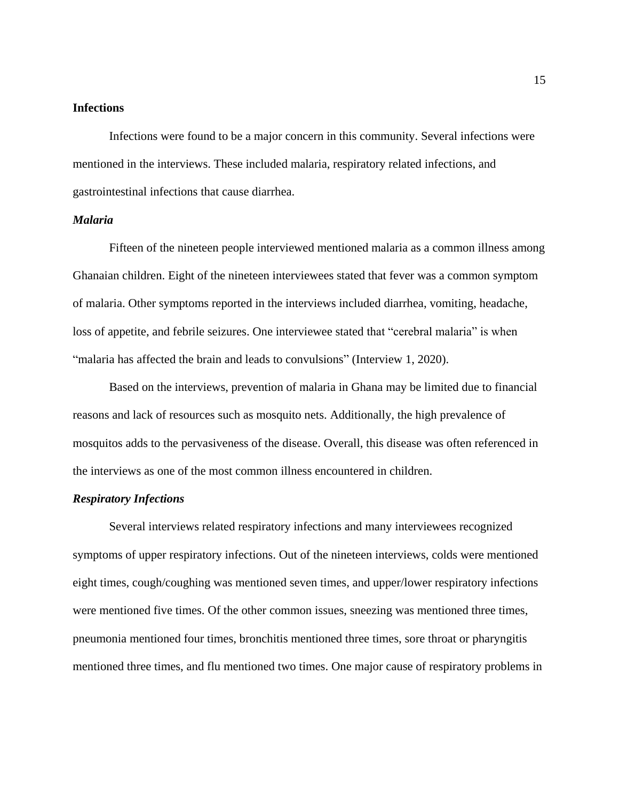## **Infections**

Infections were found to be a major concern in this community. Several infections were mentioned in the interviews. These included malaria, respiratory related infections, and gastrointestinal infections that cause diarrhea.

## *Malaria*

Fifteen of the nineteen people interviewed mentioned malaria as a common illness among Ghanaian children. Eight of the nineteen interviewees stated that fever was a common symptom of malaria. Other symptoms reported in the interviews included diarrhea, vomiting, headache, loss of appetite, and febrile seizures. One interviewee stated that "cerebral malaria" is when "malaria has affected the brain and leads to convulsions" (Interview 1, 2020).

Based on the interviews, prevention of malaria in Ghana may be limited due to financial reasons and lack of resources such as mosquito nets. Additionally, the high prevalence of mosquitos adds to the pervasiveness of the disease. Overall, this disease was often referenced in the interviews as one of the most common illness encountered in children.

## *Respiratory Infections*

Several interviews related respiratory infections and many interviewees recognized symptoms of upper respiratory infections. Out of the nineteen interviews, colds were mentioned eight times, cough/coughing was mentioned seven times, and upper/lower respiratory infections were mentioned five times. Of the other common issues, sneezing was mentioned three times, pneumonia mentioned four times, bronchitis mentioned three times, sore throat or pharyngitis mentioned three times, and flu mentioned two times. One major cause of respiratory problems in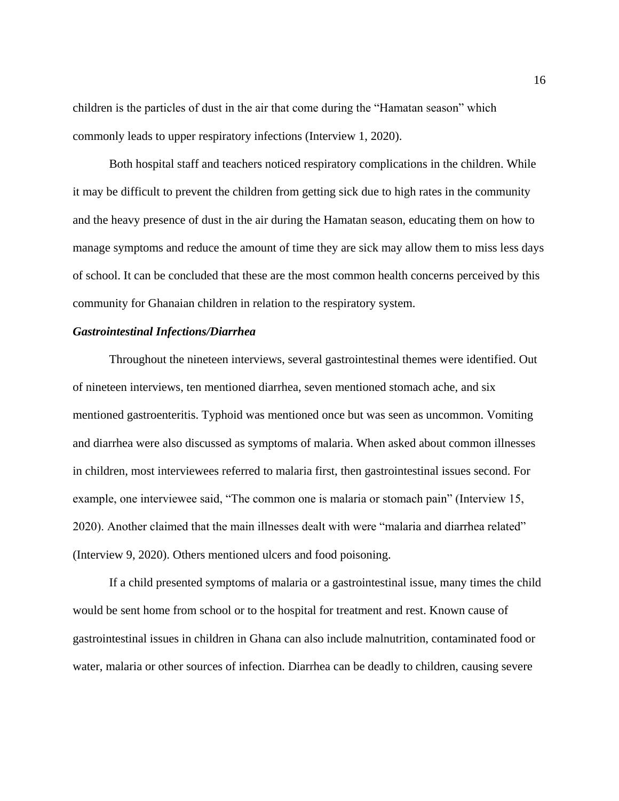children is the particles of dust in the air that come during the "Hamatan season" which commonly leads to upper respiratory infections (Interview 1, 2020).

Both hospital staff and teachers noticed respiratory complications in the children. While it may be difficult to prevent the children from getting sick due to high rates in the community and the heavy presence of dust in the air during the Hamatan season, educating them on how to manage symptoms and reduce the amount of time they are sick may allow them to miss less days of school. It can be concluded that these are the most common health concerns perceived by this community for Ghanaian children in relation to the respiratory system.

## *Gastrointestinal Infections/Diarrhea*

Throughout the nineteen interviews, several gastrointestinal themes were identified. Out of nineteen interviews, ten mentioned diarrhea, seven mentioned stomach ache, and six mentioned gastroenteritis. Typhoid was mentioned once but was seen as uncommon. Vomiting and diarrhea were also discussed as symptoms of malaria. When asked about common illnesses in children, most interviewees referred to malaria first, then gastrointestinal issues second. For example, one interviewee said, "The common one is malaria or stomach pain" (Interview 15, 2020). Another claimed that the main illnesses dealt with were "malaria and diarrhea related" (Interview 9, 2020). Others mentioned ulcers and food poisoning.

If a child presented symptoms of malaria or a gastrointestinal issue, many times the child would be sent home from school or to the hospital for treatment and rest. Known cause of gastrointestinal issues in children in Ghana can also include malnutrition, contaminated food or water, malaria or other sources of infection. Diarrhea can be deadly to children, causing severe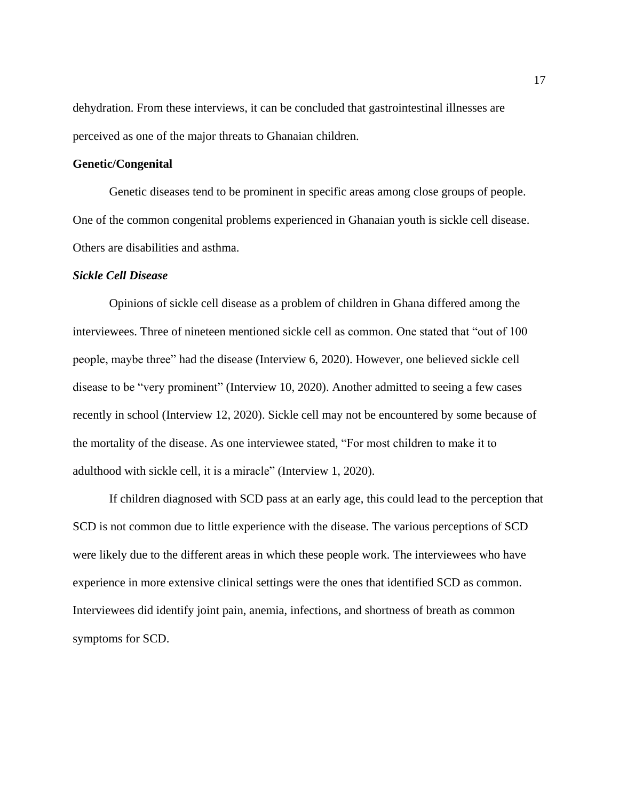dehydration. From these interviews, it can be concluded that gastrointestinal illnesses are perceived as one of the major threats to Ghanaian children.

## **Genetic/Congenital**

Genetic diseases tend to be prominent in specific areas among close groups of people. One of the common congenital problems experienced in Ghanaian youth is sickle cell disease. Others are disabilities and asthma.

## *Sickle Cell Disease*

Opinions of sickle cell disease as a problem of children in Ghana differed among the interviewees. Three of nineteen mentioned sickle cell as common. One stated that "out of 100 people, maybe three" had the disease (Interview 6, 2020). However, one believed sickle cell disease to be "very prominent" (Interview 10, 2020). Another admitted to seeing a few cases recently in school (Interview 12, 2020). Sickle cell may not be encountered by some because of the mortality of the disease. As one interviewee stated, "For most children to make it to adulthood with sickle cell, it is a miracle" (Interview 1, 2020).

If children diagnosed with SCD pass at an early age, this could lead to the perception that SCD is not common due to little experience with the disease. The various perceptions of SCD were likely due to the different areas in which these people work. The interviewees who have experience in more extensive clinical settings were the ones that identified SCD as common. Interviewees did identify joint pain, anemia, infections, and shortness of breath as common symptoms for SCD.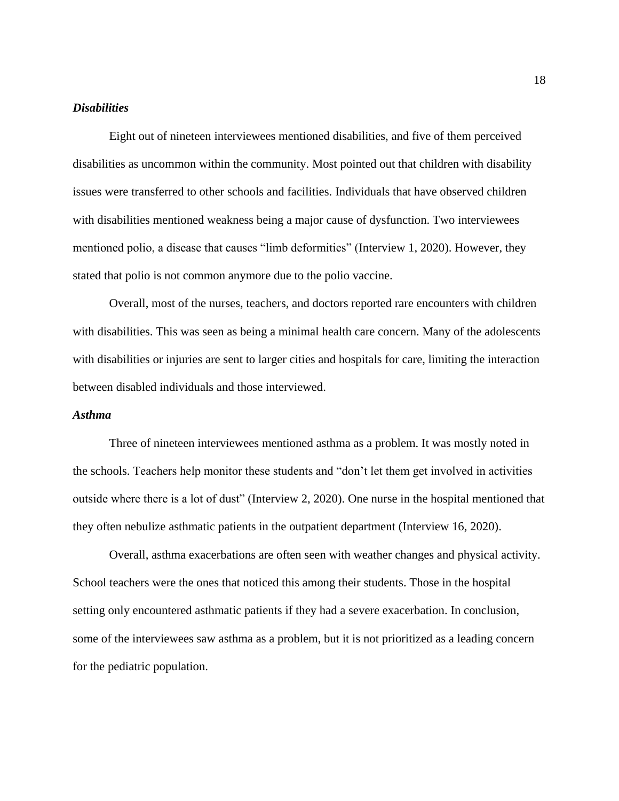## *Disabilities*

Eight out of nineteen interviewees mentioned disabilities, and five of them perceived disabilities as uncommon within the community. Most pointed out that children with disability issues were transferred to other schools and facilities. Individuals that have observed children with disabilities mentioned weakness being a major cause of dysfunction. Two interviewees mentioned polio, a disease that causes "limb deformities" (Interview 1, 2020). However, they stated that polio is not common anymore due to the polio vaccine.

Overall, most of the nurses, teachers, and doctors reported rare encounters with children with disabilities. This was seen as being a minimal health care concern. Many of the adolescents with disabilities or injuries are sent to larger cities and hospitals for care, limiting the interaction between disabled individuals and those interviewed.

## *Asthma*

Three of nineteen interviewees mentioned asthma as a problem. It was mostly noted in the schools. Teachers help monitor these students and "don't let them get involved in activities outside where there is a lot of dust" (Interview 2, 2020). One nurse in the hospital mentioned that they often nebulize asthmatic patients in the outpatient department (Interview 16, 2020).

Overall, asthma exacerbations are often seen with weather changes and physical activity. School teachers were the ones that noticed this among their students. Those in the hospital setting only encountered asthmatic patients if they had a severe exacerbation. In conclusion, some of the interviewees saw asthma as a problem, but it is not prioritized as a leading concern for the pediatric population.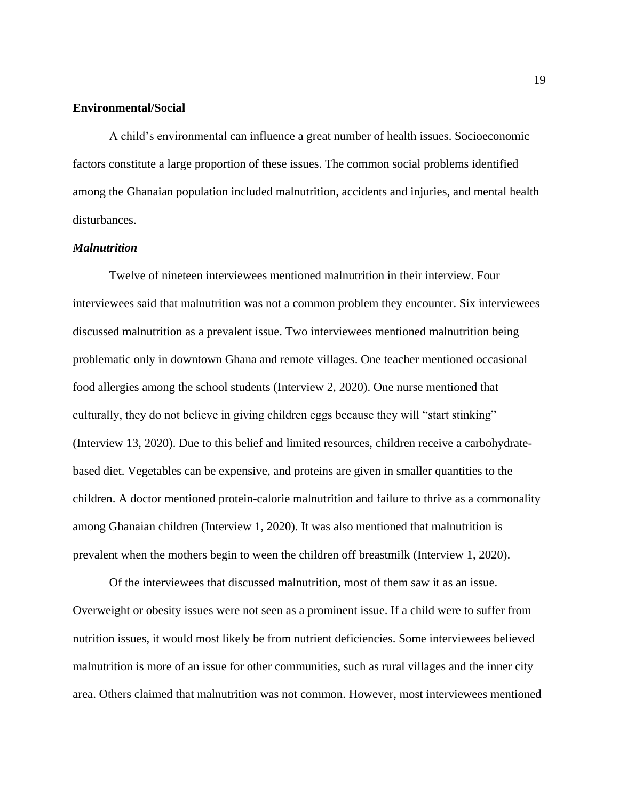## **Environmental/Social**

A child's environmental can influence a great number of health issues. Socioeconomic factors constitute a large proportion of these issues. The common social problems identified among the Ghanaian population included malnutrition, accidents and injuries, and mental health disturbances.

## *Malnutrition*

Twelve of nineteen interviewees mentioned malnutrition in their interview. Four interviewees said that malnutrition was not a common problem they encounter. Six interviewees discussed malnutrition as a prevalent issue. Two interviewees mentioned malnutrition being problematic only in downtown Ghana and remote villages. One teacher mentioned occasional food allergies among the school students (Interview 2, 2020). One nurse mentioned that culturally, they do not believe in giving children eggs because they will "start stinking" (Interview 13, 2020). Due to this belief and limited resources, children receive a carbohydratebased diet. Vegetables can be expensive, and proteins are given in smaller quantities to the children. A doctor mentioned protein-calorie malnutrition and failure to thrive as a commonality among Ghanaian children (Interview 1, 2020). It was also mentioned that malnutrition is prevalent when the mothers begin to ween the children off breastmilk (Interview 1, 2020).

Of the interviewees that discussed malnutrition, most of them saw it as an issue. Overweight or obesity issues were not seen as a prominent issue. If a child were to suffer from nutrition issues, it would most likely be from nutrient deficiencies. Some interviewees believed malnutrition is more of an issue for other communities, such as rural villages and the inner city area. Others claimed that malnutrition was not common. However, most interviewees mentioned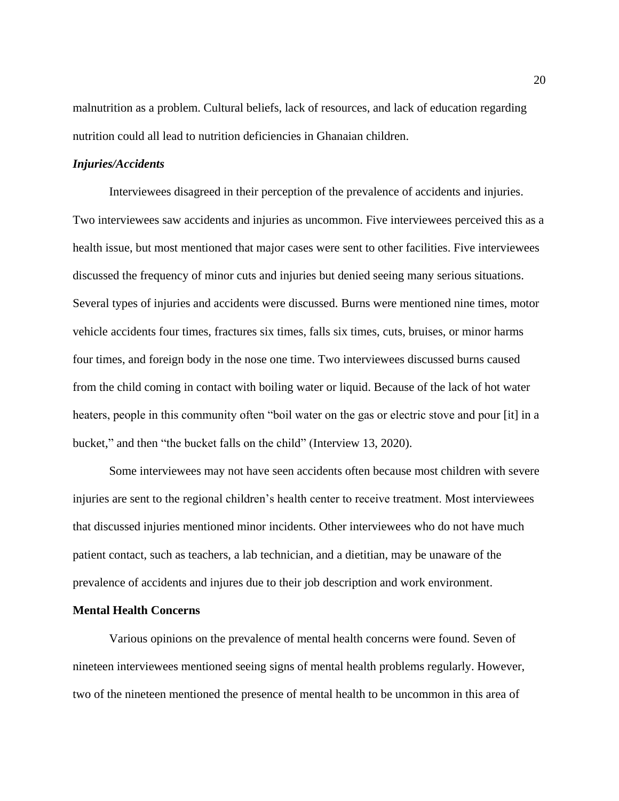malnutrition as a problem. Cultural beliefs, lack of resources, and lack of education regarding nutrition could all lead to nutrition deficiencies in Ghanaian children.

## *Injuries/Accidents*

Interviewees disagreed in their perception of the prevalence of accidents and injuries. Two interviewees saw accidents and injuries as uncommon. Five interviewees perceived this as a health issue, but most mentioned that major cases were sent to other facilities. Five interviewees discussed the frequency of minor cuts and injuries but denied seeing many serious situations. Several types of injuries and accidents were discussed. Burns were mentioned nine times, motor vehicle accidents four times, fractures six times, falls six times, cuts, bruises, or minor harms four times, and foreign body in the nose one time. Two interviewees discussed burns caused from the child coming in contact with boiling water or liquid. Because of the lack of hot water heaters, people in this community often "boil water on the gas or electric stove and pour [it] in a bucket," and then "the bucket falls on the child" (Interview 13, 2020).

Some interviewees may not have seen accidents often because most children with severe injuries are sent to the regional children's health center to receive treatment. Most interviewees that discussed injuries mentioned minor incidents. Other interviewees who do not have much patient contact, such as teachers, a lab technician, and a dietitian, may be unaware of the prevalence of accidents and injures due to their job description and work environment.

## **Mental Health Concerns**

Various opinions on the prevalence of mental health concerns were found. Seven of nineteen interviewees mentioned seeing signs of mental health problems regularly. However, two of the nineteen mentioned the presence of mental health to be uncommon in this area of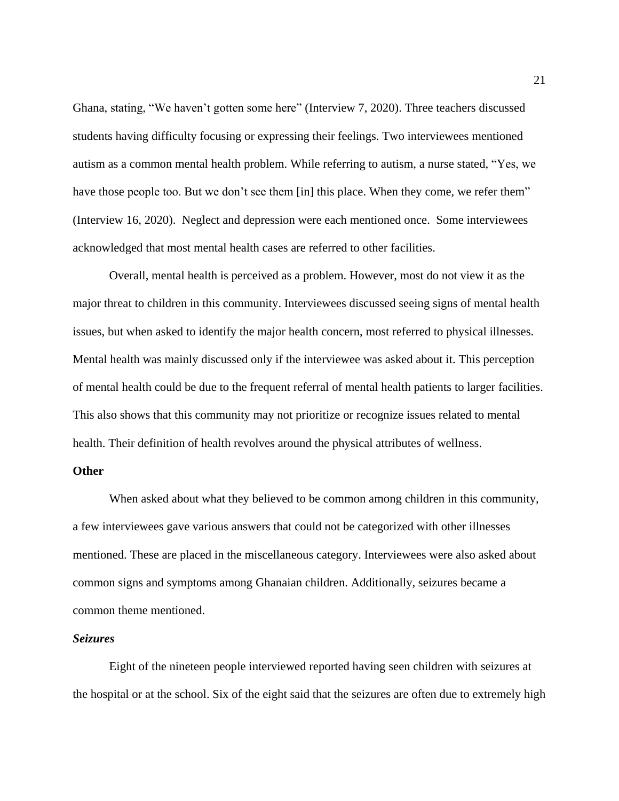Ghana, stating, "We haven't gotten some here" (Interview 7, 2020). Three teachers discussed students having difficulty focusing or expressing their feelings. Two interviewees mentioned autism as a common mental health problem. While referring to autism, a nurse stated, "Yes, we have those people too. But we don't see them [in] this place. When they come, we refer them" (Interview 16, 2020). Neglect and depression were each mentioned once. Some interviewees acknowledged that most mental health cases are referred to other facilities.

Overall, mental health is perceived as a problem. However, most do not view it as the major threat to children in this community. Interviewees discussed seeing signs of mental health issues, but when asked to identify the major health concern, most referred to physical illnesses. Mental health was mainly discussed only if the interviewee was asked about it. This perception of mental health could be due to the frequent referral of mental health patients to larger facilities. This also shows that this community may not prioritize or recognize issues related to mental health. Their definition of health revolves around the physical attributes of wellness.

### **Other**

When asked about what they believed to be common among children in this community, a few interviewees gave various answers that could not be categorized with other illnesses mentioned. These are placed in the miscellaneous category. Interviewees were also asked about common signs and symptoms among Ghanaian children. Additionally, seizures became a common theme mentioned.

## *Seizures*

Eight of the nineteen people interviewed reported having seen children with seizures at the hospital or at the school. Six of the eight said that the seizures are often due to extremely high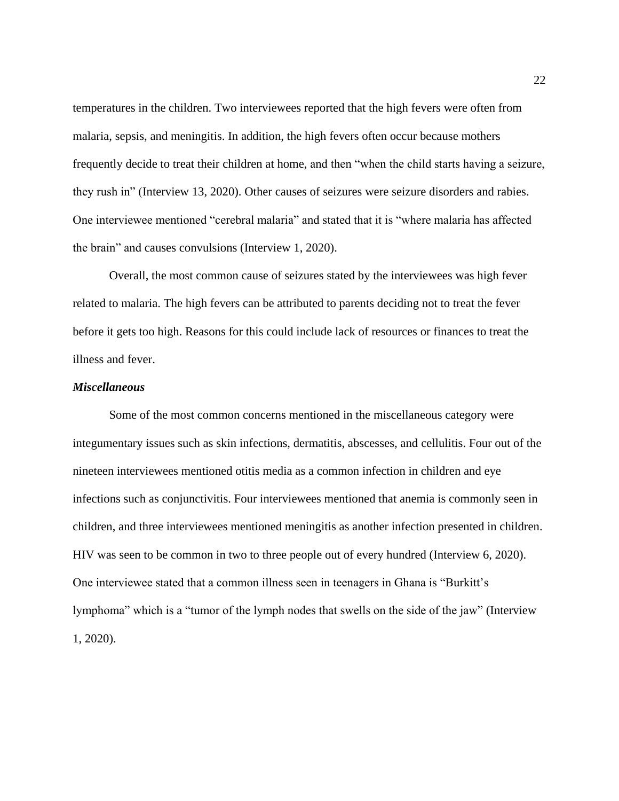temperatures in the children. Two interviewees reported that the high fevers were often from malaria, sepsis, and meningitis. In addition, the high fevers often occur because mothers frequently decide to treat their children at home, and then "when the child starts having a seizure, they rush in" (Interview 13, 2020). Other causes of seizures were seizure disorders and rabies. One interviewee mentioned "cerebral malaria" and stated that it is "where malaria has affected the brain" and causes convulsions (Interview 1, 2020).

Overall, the most common cause of seizures stated by the interviewees was high fever related to malaria. The high fevers can be attributed to parents deciding not to treat the fever before it gets too high. Reasons for this could include lack of resources or finances to treat the illness and fever.

## *Miscellaneous*

Some of the most common concerns mentioned in the miscellaneous category were integumentary issues such as skin infections, dermatitis, abscesses, and cellulitis. Four out of the nineteen interviewees mentioned otitis media as a common infection in children and eye infections such as conjunctivitis. Four interviewees mentioned that anemia is commonly seen in children, and three interviewees mentioned meningitis as another infection presented in children. HIV was seen to be common in two to three people out of every hundred (Interview 6, 2020). One interviewee stated that a common illness seen in teenagers in Ghana is "Burkitt's lymphoma" which is a "tumor of the lymph nodes that swells on the side of the jaw" (Interview 1, 2020).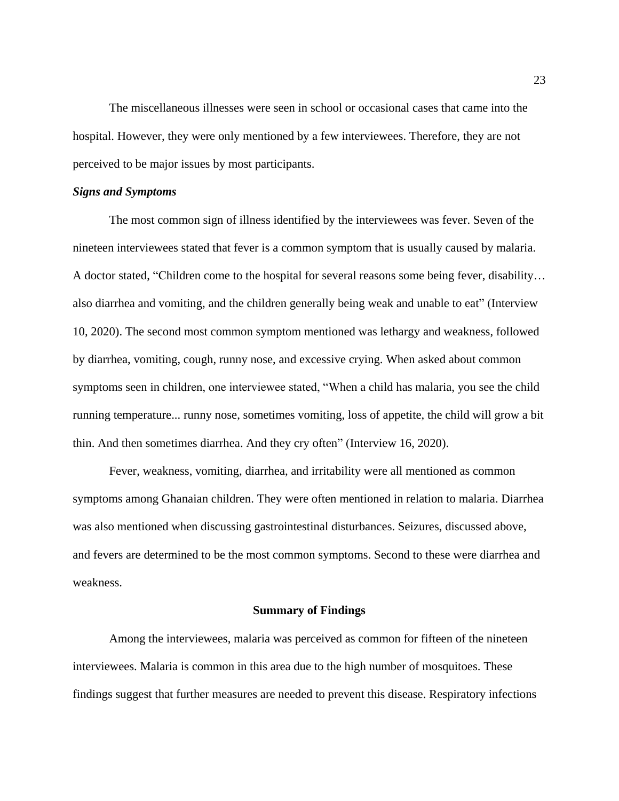The miscellaneous illnesses were seen in school or occasional cases that came into the hospital. However, they were only mentioned by a few interviewees. Therefore, they are not perceived to be major issues by most participants.

## *Signs and Symptoms*

The most common sign of illness identified by the interviewees was fever. Seven of the nineteen interviewees stated that fever is a common symptom that is usually caused by malaria. A doctor stated, "Children come to the hospital for several reasons some being fever, disability… also diarrhea and vomiting, and the children generally being weak and unable to eat" (Interview 10, 2020). The second most common symptom mentioned was lethargy and weakness, followed by diarrhea, vomiting, cough, runny nose, and excessive crying. When asked about common symptoms seen in children, one interviewee stated, "When a child has malaria, you see the child running temperature... runny nose, sometimes vomiting, loss of appetite, the child will grow a bit thin. And then sometimes diarrhea. And they cry often" (Interview 16, 2020).

Fever, weakness, vomiting, diarrhea, and irritability were all mentioned as common symptoms among Ghanaian children. They were often mentioned in relation to malaria. Diarrhea was also mentioned when discussing gastrointestinal disturbances. Seizures, discussed above, and fevers are determined to be the most common symptoms. Second to these were diarrhea and weakness.

#### **Summary of Findings**

Among the interviewees, malaria was perceived as common for fifteen of the nineteen interviewees. Malaria is common in this area due to the high number of mosquitoes. These findings suggest that further measures are needed to prevent this disease. Respiratory infections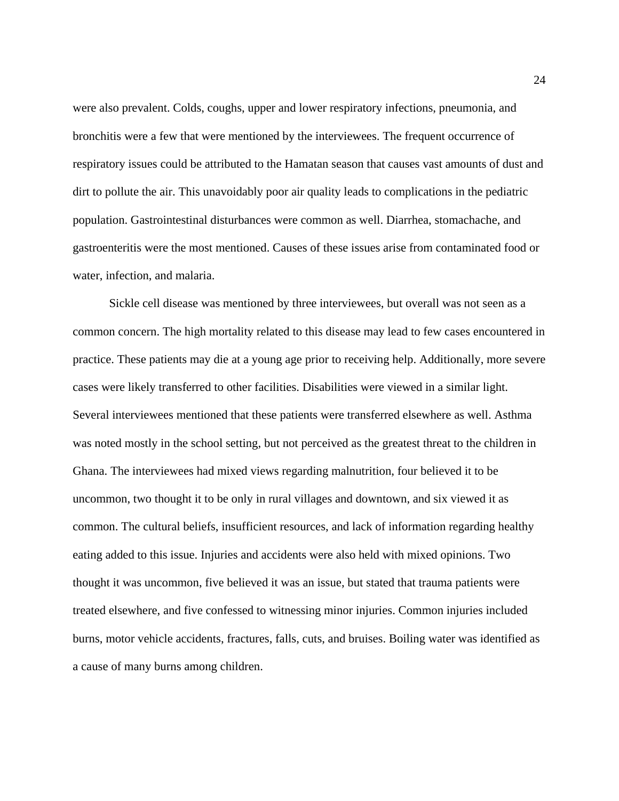were also prevalent. Colds, coughs, upper and lower respiratory infections, pneumonia, and bronchitis were a few that were mentioned by the interviewees. The frequent occurrence of respiratory issues could be attributed to the Hamatan season that causes vast amounts of dust and dirt to pollute the air. This unavoidably poor air quality leads to complications in the pediatric population. Gastrointestinal disturbances were common as well. Diarrhea, stomachache, and gastroenteritis were the most mentioned. Causes of these issues arise from contaminated food or water, infection, and malaria.

Sickle cell disease was mentioned by three interviewees, but overall was not seen as a common concern. The high mortality related to this disease may lead to few cases encountered in practice. These patients may die at a young age prior to receiving help. Additionally, more severe cases were likely transferred to other facilities. Disabilities were viewed in a similar light. Several interviewees mentioned that these patients were transferred elsewhere as well. Asthma was noted mostly in the school setting, but not perceived as the greatest threat to the children in Ghana. The interviewees had mixed views regarding malnutrition, four believed it to be uncommon, two thought it to be only in rural villages and downtown, and six viewed it as common. The cultural beliefs, insufficient resources, and lack of information regarding healthy eating added to this issue. Injuries and accidents were also held with mixed opinions. Two thought it was uncommon, five believed it was an issue, but stated that trauma patients were treated elsewhere, and five confessed to witnessing minor injuries. Common injuries included burns, motor vehicle accidents, fractures, falls, cuts, and bruises. Boiling water was identified as a cause of many burns among children.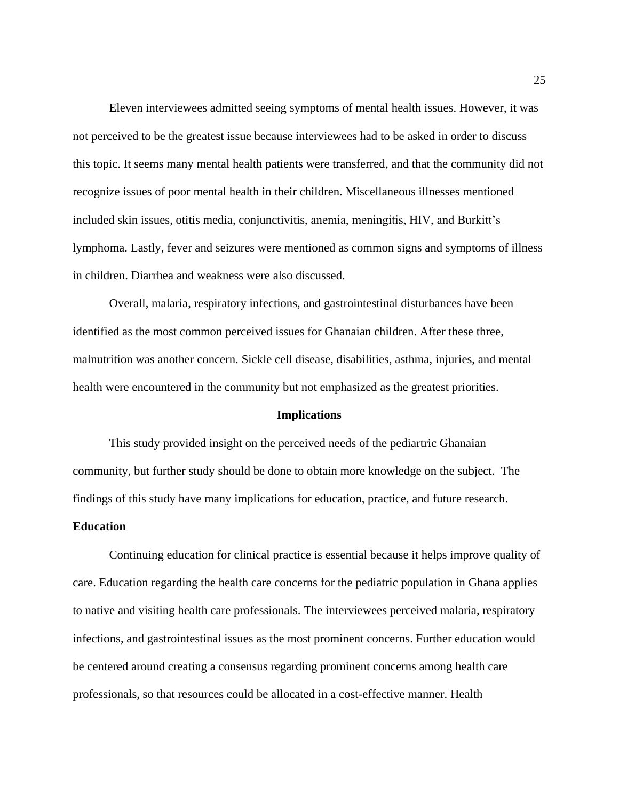Eleven interviewees admitted seeing symptoms of mental health issues. However, it was not perceived to be the greatest issue because interviewees had to be asked in order to discuss this topic. It seems many mental health patients were transferred, and that the community did not recognize issues of poor mental health in their children. Miscellaneous illnesses mentioned included skin issues, otitis media, conjunctivitis, anemia, meningitis, HIV, and Burkitt's lymphoma. Lastly, fever and seizures were mentioned as common signs and symptoms of illness in children. Diarrhea and weakness were also discussed.

Overall, malaria, respiratory infections, and gastrointestinal disturbances have been identified as the most common perceived issues for Ghanaian children. After these three, malnutrition was another concern. Sickle cell disease, disabilities, asthma, injuries, and mental health were encountered in the community but not emphasized as the greatest priorities.

#### **Implications**

This study provided insight on the perceived needs of the pediartric Ghanaian community, but further study should be done to obtain more knowledge on the subject. The findings of this study have many implications for education, practice, and future research.

## **Education**

Continuing education for clinical practice is essential because it helps improve quality of care. Education regarding the health care concerns for the pediatric population in Ghana applies to native and visiting health care professionals. The interviewees perceived malaria, respiratory infections, and gastrointestinal issues as the most prominent concerns. Further education would be centered around creating a consensus regarding prominent concerns among health care professionals, so that resources could be allocated in a cost-effective manner. Health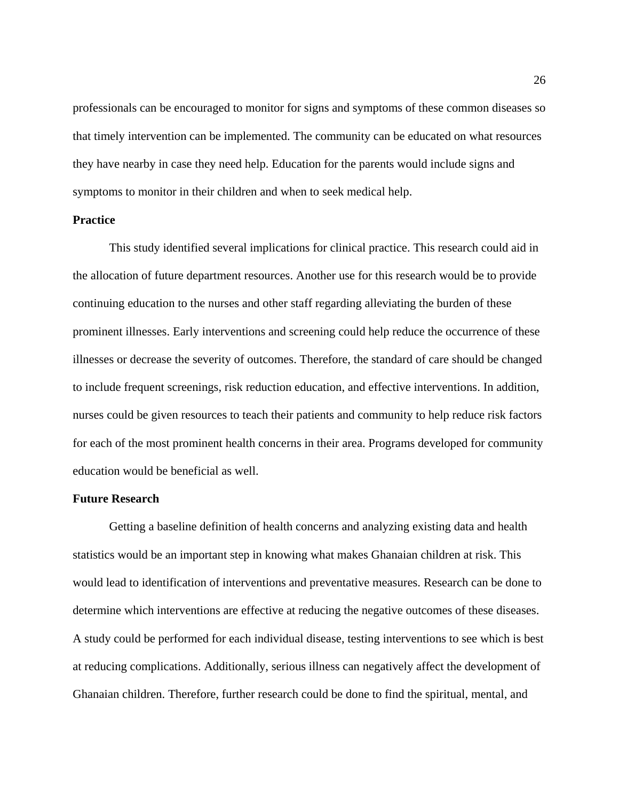professionals can be encouraged to monitor for signs and symptoms of these common diseases so that timely intervention can be implemented. The community can be educated on what resources they have nearby in case they need help. Education for the parents would include signs and symptoms to monitor in their children and when to seek medical help.

## **Practice**

This study identified several implications for clinical practice. This research could aid in the allocation of future department resources. Another use for this research would be to provide continuing education to the nurses and other staff regarding alleviating the burden of these prominent illnesses. Early interventions and screening could help reduce the occurrence of these illnesses or decrease the severity of outcomes. Therefore, the standard of care should be changed to include frequent screenings, risk reduction education, and effective interventions. In addition, nurses could be given resources to teach their patients and community to help reduce risk factors for each of the most prominent health concerns in their area. Programs developed for community education would be beneficial as well.

## **Future Research**

Getting a baseline definition of health concerns and analyzing existing data and health statistics would be an important step in knowing what makes Ghanaian children at risk. This would lead to identification of interventions and preventative measures. Research can be done to determine which interventions are effective at reducing the negative outcomes of these diseases. A study could be performed for each individual disease, testing interventions to see which is best at reducing complications. Additionally, serious illness can negatively affect the development of Ghanaian children. Therefore, further research could be done to find the spiritual, mental, and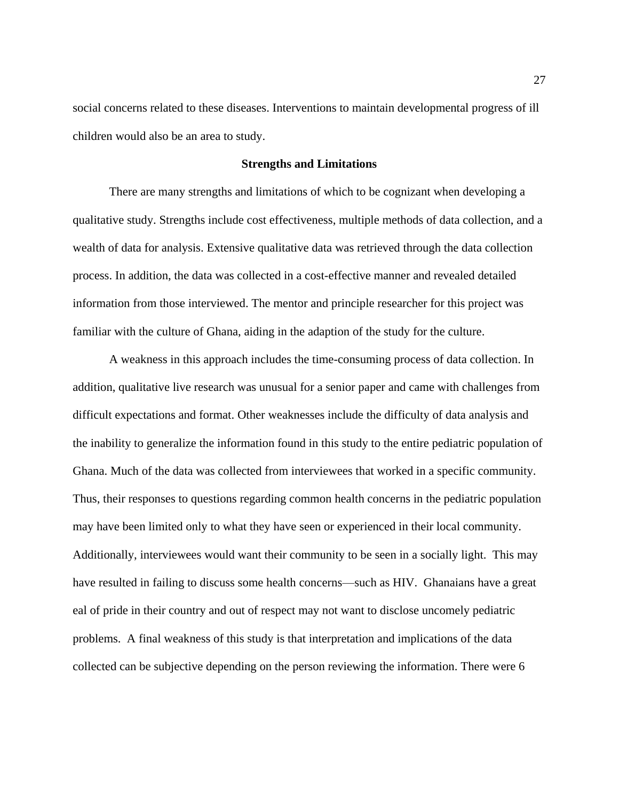social concerns related to these diseases. Interventions to maintain developmental progress of ill children would also be an area to study.

## **Strengths and Limitations**

There are many strengths and limitations of which to be cognizant when developing a qualitative study. Strengths include cost effectiveness, multiple methods of data collection, and a wealth of data for analysis. Extensive qualitative data was retrieved through the data collection process. In addition, the data was collected in a cost-effective manner and revealed detailed information from those interviewed. The mentor and principle researcher for this project was familiar with the culture of Ghana, aiding in the adaption of the study for the culture.

A weakness in this approach includes the time-consuming process of data collection. In addition, qualitative live research was unusual for a senior paper and came with challenges from difficult expectations and format. Other weaknesses include the difficulty of data analysis and the inability to generalize the information found in this study to the entire pediatric population of Ghana. Much of the data was collected from interviewees that worked in a specific community. Thus, their responses to questions regarding common health concerns in the pediatric population may have been limited only to what they have seen or experienced in their local community. Additionally, interviewees would want their community to be seen in a socially light. This may have resulted in failing to discuss some health concerns—such as HIV. Ghanaians have a great eal of pride in their country and out of respect may not want to disclose uncomely pediatric problems. A final weakness of this study is that interpretation and implications of the data collected can be subjective depending on the person reviewing the information. There were 6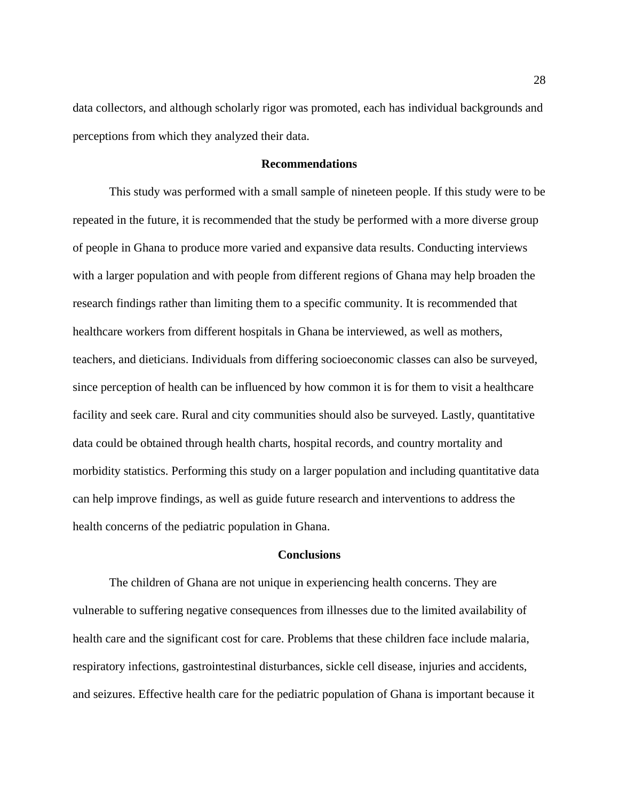data collectors, and although scholarly rigor was promoted, each has individual backgrounds and perceptions from which they analyzed their data.

## **Recommendations**

This study was performed with a small sample of nineteen people. If this study were to be repeated in the future, it is recommended that the study be performed with a more diverse group of people in Ghana to produce more varied and expansive data results. Conducting interviews with a larger population and with people from different regions of Ghana may help broaden the research findings rather than limiting them to a specific community. It is recommended that healthcare workers from different hospitals in Ghana be interviewed, as well as mothers, teachers, and dieticians. Individuals from differing socioeconomic classes can also be surveyed, since perception of health can be influenced by how common it is for them to visit a healthcare facility and seek care. Rural and city communities should also be surveyed. Lastly, quantitative data could be obtained through health charts, hospital records, and country mortality and morbidity statistics. Performing this study on a larger population and including quantitative data can help improve findings, as well as guide future research and interventions to address the health concerns of the pediatric population in Ghana.

## **Conclusions**

The children of Ghana are not unique in experiencing health concerns. They are vulnerable to suffering negative consequences from illnesses due to the limited availability of health care and the significant cost for care. Problems that these children face include malaria, respiratory infections, gastrointestinal disturbances, sickle cell disease, injuries and accidents, and seizures. Effective health care for the pediatric population of Ghana is important because it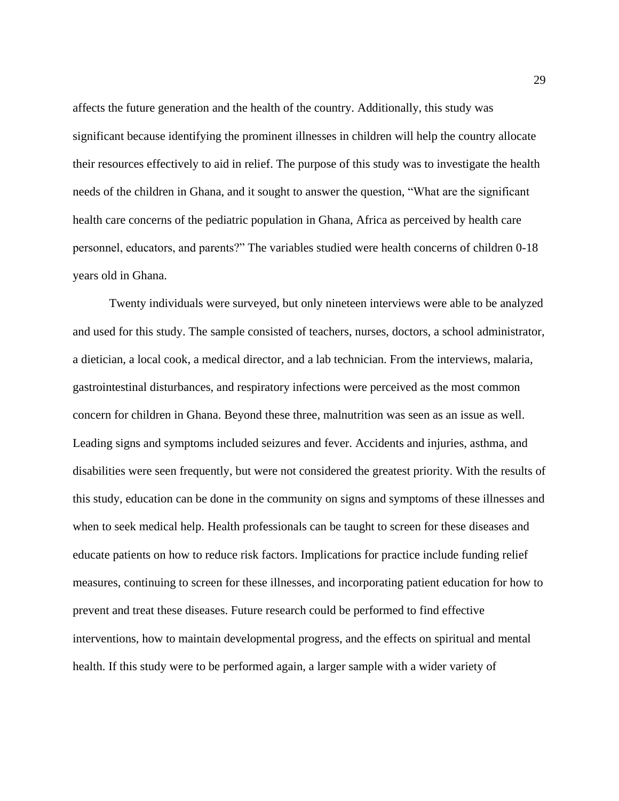affects the future generation and the health of the country. Additionally, this study was significant because identifying the prominent illnesses in children will help the country allocate their resources effectively to aid in relief. The purpose of this study was to investigate the health needs of the children in Ghana, and it sought to answer the question, "What are the significant health care concerns of the pediatric population in Ghana, Africa as perceived by health care personnel, educators, and parents?" The variables studied were health concerns of children 0-18 years old in Ghana.

Twenty individuals were surveyed, but only nineteen interviews were able to be analyzed and used for this study. The sample consisted of teachers, nurses, doctors, a school administrator, a dietician, a local cook, a medical director, and a lab technician. From the interviews, malaria, gastrointestinal disturbances, and respiratory infections were perceived as the most common concern for children in Ghana. Beyond these three, malnutrition was seen as an issue as well. Leading signs and symptoms included seizures and fever. Accidents and injuries, asthma, and disabilities were seen frequently, but were not considered the greatest priority. With the results of this study, education can be done in the community on signs and symptoms of these illnesses and when to seek medical help. Health professionals can be taught to screen for these diseases and educate patients on how to reduce risk factors. Implications for practice include funding relief measures, continuing to screen for these illnesses, and incorporating patient education for how to prevent and treat these diseases. Future research could be performed to find effective interventions, how to maintain developmental progress, and the effects on spiritual and mental health. If this study were to be performed again, a larger sample with a wider variety of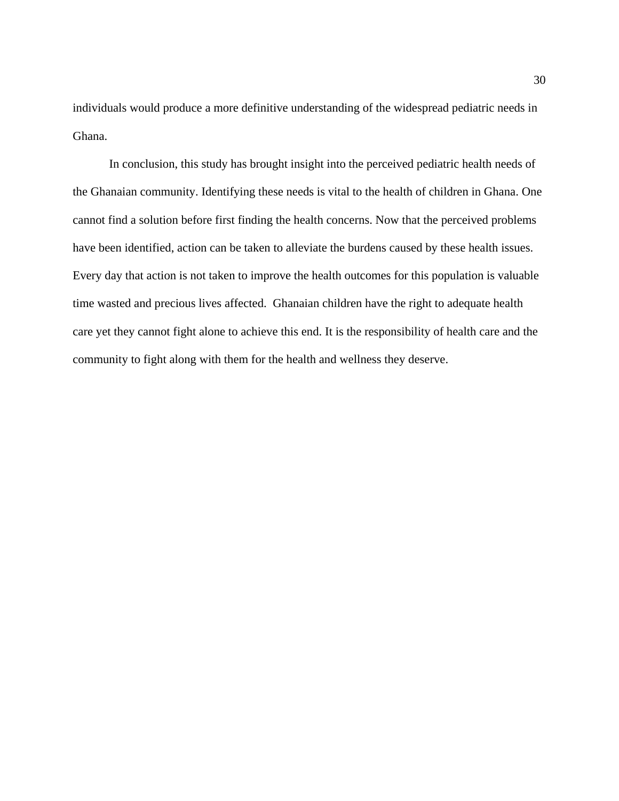individuals would produce a more definitive understanding of the widespread pediatric needs in Ghana.

In conclusion, this study has brought insight into the perceived pediatric health needs of the Ghanaian community. Identifying these needs is vital to the health of children in Ghana. One cannot find a solution before first finding the health concerns. Now that the perceived problems have been identified, action can be taken to alleviate the burdens caused by these health issues. Every day that action is not taken to improve the health outcomes for this population is valuable time wasted and precious lives affected. Ghanaian children have the right to adequate health care yet they cannot fight alone to achieve this end. It is the responsibility of health care and the community to fight along with them for the health and wellness they deserve.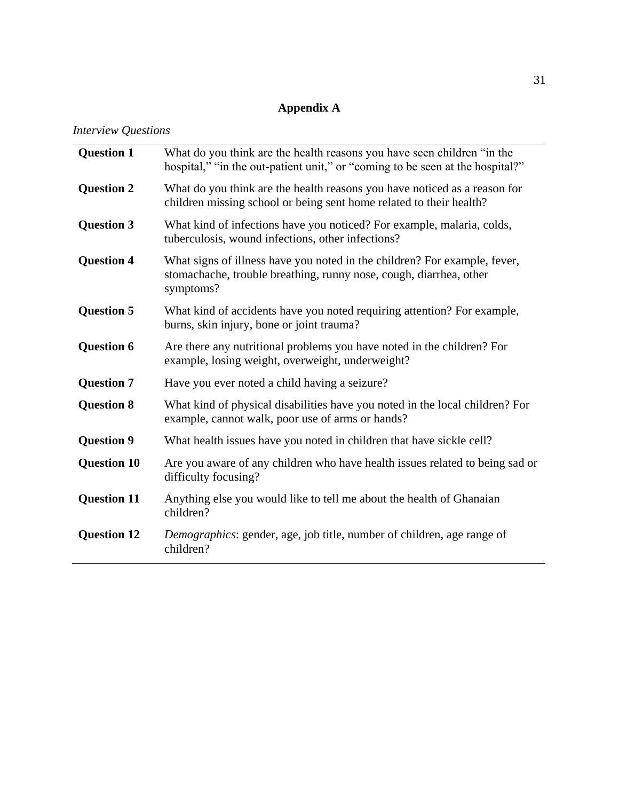# **Appendix A**

*Interview Questions*

| <b>Question 1</b>  | What do you think are the health reasons you have seen children "in the<br>hospital," "in the out-patient unit," or "coming to be seen at the hospital?"     |  |  |
|--------------------|--------------------------------------------------------------------------------------------------------------------------------------------------------------|--|--|
| <b>Question 2</b>  | What do you think are the health reasons you have noticed as a reason for<br>children missing school or being sent home related to their health?             |  |  |
| <b>Question 3</b>  | What kind of infections have you noticed? For example, malaria, colds,<br>tuberculosis, wound infections, other infections?                                  |  |  |
| <b>Question 4</b>  | What signs of illness have you noted in the children? For example, fever,<br>stomachache, trouble breathing, runny nose, cough, diarrhea, other<br>symptoms? |  |  |
| <b>Question 5</b>  | What kind of accidents have you noted requiring attention? For example,<br>burns, skin injury, bone or joint trauma?                                         |  |  |
| <b>Question 6</b>  | Are there any nutritional problems you have noted in the children? For<br>example, losing weight, overweight, underweight?                                   |  |  |
| <b>Question 7</b>  | Have you ever noted a child having a seizure?                                                                                                                |  |  |
| <b>Question 8</b>  | What kind of physical disabilities have you noted in the local children? For<br>example, cannot walk, poor use of arms or hands?                             |  |  |
| <b>Question 9</b>  | What health issues have you noted in children that have sickle cell?                                                                                         |  |  |
| <b>Question 10</b> | Are you aware of any children who have health issues related to being sad or<br>difficulty focusing?                                                         |  |  |
| <b>Question 11</b> | Anything else you would like to tell me about the health of Ghanaian<br>children?                                                                            |  |  |
| <b>Question 12</b> | Demographics: gender, age, job title, number of children, age range of<br>children?                                                                          |  |  |
|                    |                                                                                                                                                              |  |  |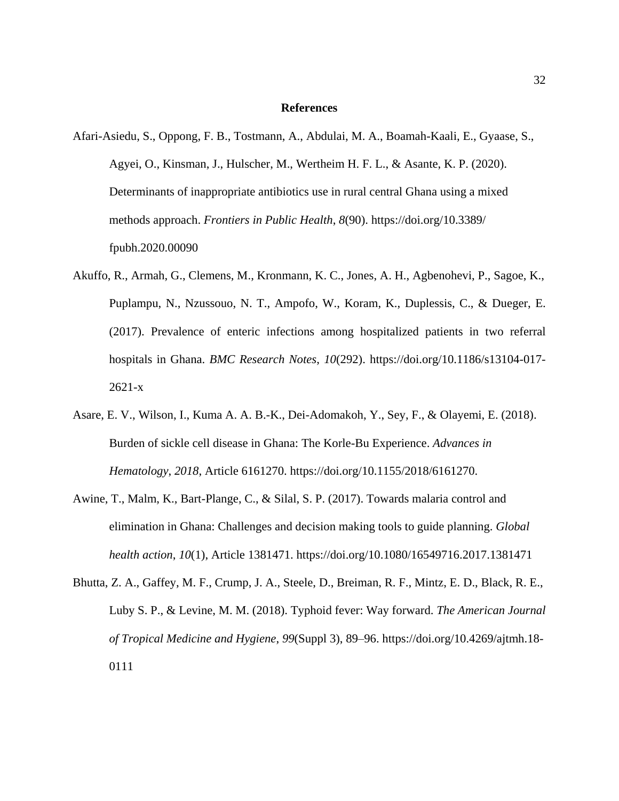#### **References**

- Afari-Asiedu, S., Oppong, F. B., Tostmann, A., Abdulai, M. A., Boamah-Kaali, E., Gyaase, S., Agyei, O., Kinsman, J., Hulscher, M., Wertheim H. F. L., & Asante, K. P. (2020). Determinants of inappropriate antibiotics use in rural central Ghana using a mixed methods approach. *Frontiers in Public Health*, *8*(90). https://doi.org/10.3389/ fpubh.2020.00090
- Akuffo, R., Armah, G., Clemens, M., Kronmann, K. C., Jones, A. H., Agbenohevi, P., Sagoe, K., Puplampu, N., Nzussouo, N. T., Ampofo, W., Koram, K., Duplessis, C., & Dueger, E. (2017). Prevalence of enteric infections among hospitalized patients in two referral hospitals in Ghana. *BMC Research Notes*, *10*(292). [https://doi.org/10.1186/s13104-017-](https://doi.org/10.1186/s13104-017-2621-x) [2621-x](https://doi.org/10.1186/s13104-017-2621-x)
- Asare, E. V., Wilson, I., Kuma A. A. B.-K., Dei-Adomakoh, Y., Sey, F., & Olayemi, E. (2018). Burden of sickle cell disease in Ghana: The Korle-Bu Experience. *Advances in Hematology*, *2018*, Article 6161270. https://doi.org/10.1155/2018/6161270.
- Awine, T., Malm, K., Bart-Plange, C., & Silal, S. P. (2017). Towards malaria control and elimination in Ghana: Challenges and decision making tools to guide planning. *Global health action*, *10*(1), Article 1381471.<https://doi.org/10.1080/16549716.2017.1381471>
- Bhutta, Z. A., Gaffey, M. F., Crump, J. A., Steele, D., Breiman, R. F., Mintz, E. D., Black, R. E., Luby S. P., & Levine, M. M. (2018). Typhoid fever: Way forward. *The American Journal of Tropical Medicine and Hygiene*, *99*(Suppl 3), 89–96. [https://doi.org/10.4269/ajtmh.18-](https://doi.org/10.4269/ajtmh.18-0111) [0111](https://doi.org/10.4269/ajtmh.18-0111)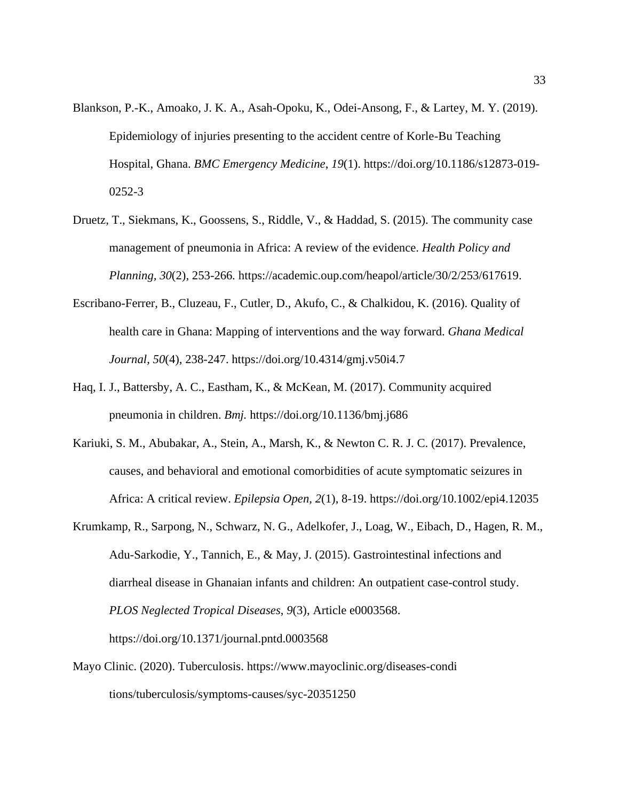- Blankson, P.-K., Amoako, J. K. A., Asah-Opoku, K., Odei-Ansong, F., & Lartey, M. Y. (2019). Epidemiology of injuries presenting to the accident centre of Korle-Bu Teaching Hospital, Ghana. *BMC Emergency Medicine*, *19*(1). https://doi.org/10.1186/s12873-019- 0252-3
- Druetz, T., Siekmans, K., Goossens, S., Riddle, V., & Haddad, S. (2015). The community case management of pneumonia in Africa: A review of the evidence. *Health Policy and Planning, 30*(2), 253-266*.* [https://academic.oup.com/heapol/article/30/2/253/617619.](https://academic.oup.com/heapol/article/30/2/253/617619)
- Escribano-Ferrer, B., Cluzeau, F., Cutler, D., Akufo, C., & Chalkidou, K. (2016). Quality of health care in Ghana: Mapping of interventions and the way forward. *Ghana Medical Journal*, *50*(4), 238-247. https://doi.org/10.4314/gmj.v50i4.7
- Haq, I. J., Battersby, A. C., Eastham, K., & McKean, M. (2017). Community acquired pneumonia in children. *Bmj.* https://doi.org/10.1136/bmj.j686
- Kariuki, S. M., Abubakar, A., Stein, A., Marsh, K., & Newton C. R. J. C. (2017). Prevalence, causes, and behavioral and emotional comorbidities of acute symptomatic seizures in Africa: A critical review. *Epilepsia Open, 2*(1), 8-19. <https://doi.org/10.1002/epi4.12035>
- Krumkamp, R., Sarpong, N., Schwarz, N. G., Adelkofer, J., Loag, W., Eibach, D., Hagen, R. M., Adu-Sarkodie, Y., Tannich, E., & May, J. (2015). Gastrointestinal infections and diarrheal disease in Ghanaian infants and children: An outpatient case-control study. *PLOS Neglected Tropical Diseases*, *9*(3), Article e0003568. https://doi.org/10.1371/journal.pntd.0003568
- Mayo Clinic. (2020). Tuberculosis. [https://www.mayoclinic.org/diseases-c](https://www.mayoclinic.org/diseases-)ondi tions/tuberculosis/symptoms-causes/syc-20351250